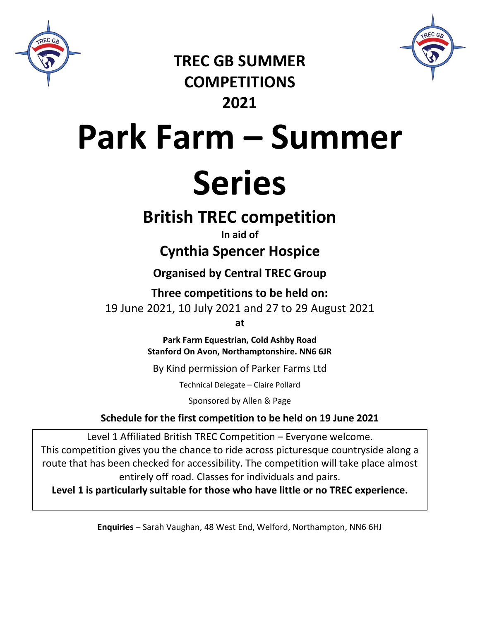



**TREC GB SUMMER COMPETITIONS 2021**

# **Park Farm – Summer**

## **Series**

## **British TREC competition**

### **In aid of**

## **Cynthia Spencer Hospice**

## **Organised by Central TREC Group**

**Three competitions to be held on:** 19 June 2021, 10 July 2021 and 27 to 29 August 2021

**at**

**Park Farm Equestrian, Cold Ashby Road Stanford On Avon, Northamptonshire. NN6 6JR**

By Kind permission of Parker Farms Ltd

Technical Delegate – Claire Pollard

Sponsored by Allen & Page

## **Schedule for the first competition to be held on 19 June 2021**

Level 1 Affiliated British TREC Competition – Everyone welcome. This competition gives you the chance to ride across picturesque countryside along a route that has been checked for accessibility. The competition will take place almost entirely off road. Classes for individuals and pairs.

**Level 1 is particularly suitable for those who have little or no TREC experience.**

**Enquiries** – Sarah Vaughan, 48 West End, Welford, Northampton, NN6 6HJ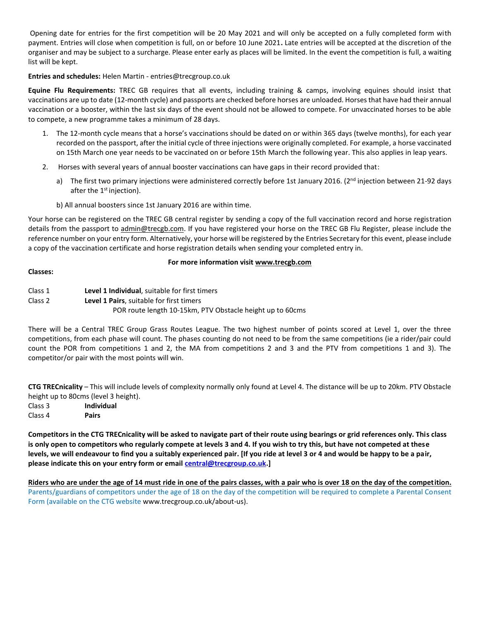Opening date for entries for the first competition will be 20 May 2021 and will only be accepted on a fully completed form with payment. Entries will close when competition is full, on or before 10 June 2021**.** Late entries will be accepted at the discretion of the organiser and may be subject to a surcharge. Please enter early as places will be limited. In the event the competition is full, a waiting list will be kept.

#### **Entries and schedules:** Helen Martin - entries@trecgroup.co.uk

**Equine Flu Requirements:** TREC GB requires that all events, including training & camps, involving equines should insist that vaccinations are up to date (12-month cycle) and passports are checked before horses are unloaded. Horses that have had their annual vaccination or a booster, within the last six days of the event should not be allowed to compete. For unvaccinated horses to be able to compete, a new programme takes a minimum of 28 days.

- 1. The 12-month cycle means that a horse's vaccinations should be dated on or within 365 days (twelve months), for each year recorded on the passport, after the initial cycle of three injections were originally completed. For example, a horse vaccinated on 15th March one year needs to be vaccinated on or before 15th March the following year. This also applies in leap years.
- 2. Horses with several years of annual booster vaccinations can have gaps in their record provided that:
	- a) The first two primary injections were administered correctly before 1st January 2016. (2<sup>nd</sup> injection between 21-92 days after the  $1<sup>st</sup>$  injection).
	- b) All annual boosters since 1st January 2016 are within time.

Your horse can be registered on the TREC GB central register by sending a copy of the full vaccination record and horse registration details from the passport to admin@trecgb.com. If you have registered your horse on the TREC GB Flu Register, please include the reference number on your entry form. Alternatively, your horse will be registered by the Entries Secretary for this event, please include a copy of the vaccination certificate and horse registration details when sending your completed entry in.

#### **For more information visit www.trecgb.com**

#### **Classes:**

Class 2 **Level 1 Pairs**, suitable for first timers

POR route length 10-15km, PTV Obstacle height up to 60cms

There will be a Central TREC Group Grass Routes League. The two highest number of points scored at Level 1, over the three competitions, from each phase will count. The phases counting do not need to be from the same competitions (ie a rider/pair could count the POR from competitions 1 and 2, the MA from competitions 2 and 3 and the PTV from competitions 1 and 3). The competitor/or pair with the most points will win.

**CTG TRECnicality** – This will include levels of complexity normally only found at Level 4. The distance will be up to 20km. PTV Obstacle height up to 80cms (level 3 height).

Class 3 **Individual** Class 4 **Pairs**

**Competitors in the CTG TRECnicality will be asked to navigate part of their route using bearings or grid references only. This class is only open to competitors who regularly compete at levels 3 and 4. If you wish to try this, but have not competed at these levels, we will endeavour to find you a suitably experienced pair. [If you ride at level 3 or 4 and would be happy to be a pair, please indicate this on your entry form or email [central@trecgroup.co.uk.](mailto:central@trecgroup.co.uk)]** 

**Riders who are under the age of 14 must ride in one of the pairs classes, with a pair who is over 18 on the day of the competition.**  Parents/guardians of competitors under the age of 18 on the day of the competition will be required to complete a Parental Consent Form (available on the CTG website www.trecgroup.co.uk/about-us).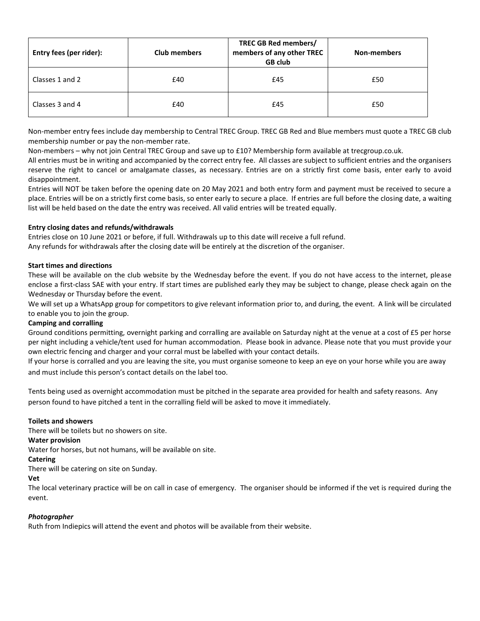| Entry fees (per rider): | <b>Club members</b> | TREC GB Red members/<br>members of any other TREC<br><b>GB club</b> | <b>Non-members</b> |
|-------------------------|---------------------|---------------------------------------------------------------------|--------------------|
| Classes 1 and 2         | £40                 | £45                                                                 | £50                |
| Classes 3 and 4         | £40                 | £45                                                                 | £50                |

Non-member entry fees include day membership to Central TREC Group. TREC GB Red and Blue members must quote a TREC GB club membership number or pay the non-member rate.

Non-members – why not join Central TREC Group and save up to £10? Membership form available at trecgroup.co.uk.

All entries must be in writing and accompanied by the correct entry fee. All classes are subject to sufficient entries and the organisers reserve the right to cancel or amalgamate classes, as necessary. Entries are on a strictly first come basis, enter early to avoid disappointment.

Entries will NOT be taken before the opening date on 20 May 2021 and both entry form and payment must be received to secure a place. Entries will be on a strictly first come basis, so enter early to secure a place. If entries are full before the closing date, a waiting list will be held based on the date the entry was received. All valid entries will be treated equally.

#### **Entry closing dates and refunds/withdrawals**

Entries close on 10 June 2021 or before, if full. Withdrawals up to this date will receive a full refund.

Any refunds for withdrawals after the closing date will be entirely at the discretion of the organiser.

#### **Start times and directions**

These will be available on the club website by the Wednesday before the event. If you do not have access to the internet, please enclose a first-class SAE with your entry. If start times are published early they may be subject to change, please check again on the Wednesday or Thursday before the event.

We will set up a WhatsApp group for competitors to give relevant information prior to, and during, the event. A link will be circulated to enable you to join the group.

#### **Camping and corralling**

Ground conditions permitting, overnight parking and corralling are available on Saturday night at the venue at a cost of £5 per horse per night including a vehicle/tent used for human accommodation. Please book in advance. Please note that you must provide your own electric fencing and charger and your corral must be labelled with your contact details.

If your horse is corralled and you are leaving the site, you must organise someone to keep an eye on your horse while you are away and must include this person's contact details on the label too.

Tents being used as overnight accommodation must be pitched in the separate area provided for health and safety reasons. Any person found to have pitched a tent in the corralling field will be asked to move it immediately.

#### **Toilets and showers**

There will be toilets but no showers on site.

#### **Water provision**

Water for horses, but not humans, will be available on site.

#### **Catering**

There will be catering on site on Sunday.

#### **Vet**

The local veterinary practice will be on call in case of emergency. The organiser should be informed if the vet is required during the event.

#### *Photographer*

Ruth from Indiepics will attend the event and photos will be available from their website.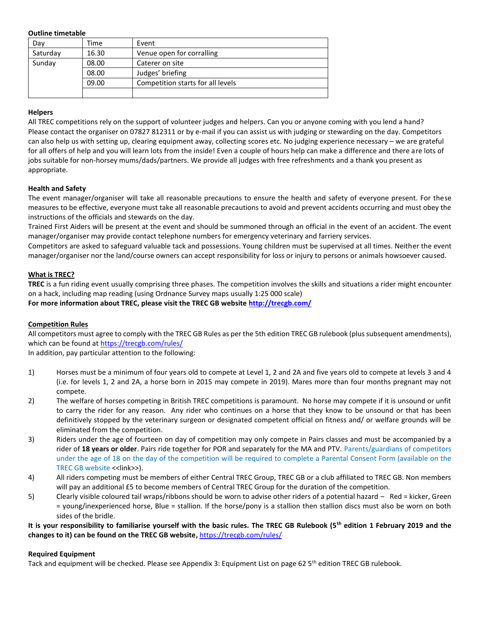#### **Outline timetable**

| Day      | Time  | Event                             |
|----------|-------|-----------------------------------|
| Saturday | 16.30 | Venue open for corralling         |
| Sunday   | 08.00 | Caterer on site                   |
|          | 08.00 | Judges' briefing                  |
|          | 09.00 | Competition starts for all levels |
|          |       |                                   |

#### **Helpers**

All TREC competitions rely on the support of volunteer judges and helpers. Can you or anyone coming with you lend a hand? Please contact the organiser on 07827 812311 or by e-mail if you can assist us with judging or stewarding on the day. Competitors can also help us with setting up, clearing equipment away, collecting scores etc. No judging experience necessary – we are grateful for all offers of help and you will learn lots from the inside! Even a couple of hours help can make a difference and there are lots of jobs suitable for non-horsey mums/dads/partners. We provide all judges with free refreshments and a thank you present as appropriate.

#### **Health and Safety**

The event manager/organiser will take all reasonable precautions to ensure the health and safety of everyone present. For these measures to be effective, everyone must take all reasonable precautions to avoid and prevent accidents occurring and must obey the instructions of the officials and stewards on the day.

Trained First Aiders will be present at the event and should be summoned through an official in the event of an accident. The event manager/organiser may provide contact telephone numbers for emergency veterinary and farriery services.

Competitors are asked to safeguard valuable tack and possessions. Young children must be supervised at all times. Neither the event manager/organiser nor the land/course owners can accept responsibility for loss or injury to persons or animals howsoever caused.

#### **What is TREC?**

**TREC** is a fun riding event usually comprising three phases. The competition involves the skills and situations a rider might encounter on a hack, including map reading (using Ordnance Survey maps usually 1:25 000 scale)

**For more information about TREC, please visit the TREC GB website http://trecgb.com/**

#### **Competition Rules**

All competitors must agree to comply with the TREC GB Rules as per the 5th edition TREC GB rulebook (plus subsequent amendments), which can be found at https://trecgb.com/rules/

In addition, pay particular attention to the following:

- 1) Horses must be a minimum of four years old to compete at Level 1, 2 and 2A and five years old to compete at levels 3 and 4 (i.e. for levels 1, 2 and 2A, a horse born in 2015 may compete in 2019). Mares more than four months pregnant may not compete.
- 2) The welfare of horses competing in British TREC competitions is paramount. No horse may compete if it is unsound or unfit to carry the rider for any reason. Any rider who continues on a horse that they know to be unsound or that has been definitively stopped by the veterinary surgeon or designated competent official on fitness and/ or welfare grounds will be eliminated from the competition.
- 3) Riders under the age of fourteen on day of competition may only compete in Pairs classes and must be accompanied by a rider of **18 years or older**. Pairs ride together for POR and separately for the MA and PTV. Parents/guardians of competitors under the age of 18 on the day of the competition will be required to complete a Parental Consent Form (available on the TREC GB website <<link>>).
- 4) All riders competing must be members of either Central TREC Group, TREC GB or a club affiliated to TREC GB. Non members will pay an additional £5 to become members of Central TREC Group for the duration of the competition.
- 5) Clearly visible coloured tail wraps/ribbons should be worn to advise other riders of a potential hazard Red = kicker, Green = young/inexperienced horse, Blue = stallion. If the horse/pony is a stallion then stallion discs must also be worn on both sides of the bridle.

**It is your responsibility to familiarise yourself with the basic rules. The TREC GB Rulebook (5th edition 1 February 2019 and the changes to it) can be found on the TREC GB website,** https://trecgb.com/rules/

#### **Required Equipment**

Tack and equipment will be checked. Please see Appendix 3: Equipment List on page 62 5<sup>th</sup> edition TREC GB rulebook.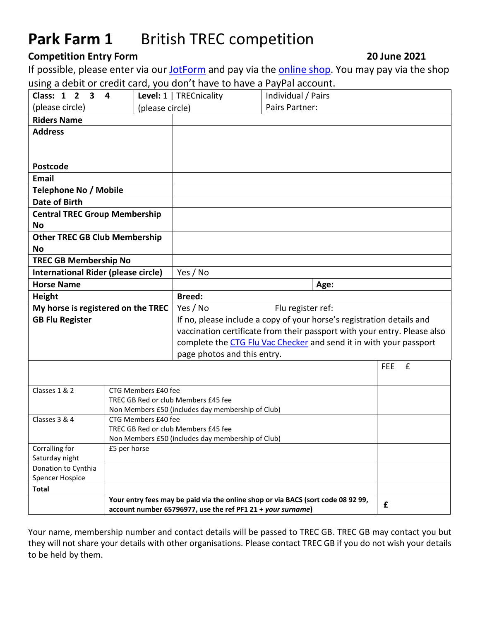## Park Farm 1 British TREC competition

### **Competition Entry Form 2011 Competition Entry Form** 2011

If possible, please enter via our [JotForm](https://form.jotform.com/202134548153045) and pay via the [online shop.](http://www.trecgroup.co.uk/store) You may pay via the shop using a debit or credit card, you don't have to have a PayPal account.

| Class: $1\,2$<br>$\mathbf{3}$              | 4                                                 | Level: 1   TRECnicality                                               | Individual / Pairs                                                               |                           |
|--------------------------------------------|---------------------------------------------------|-----------------------------------------------------------------------|----------------------------------------------------------------------------------|---------------------------|
| (please circle)                            | (please circle)                                   |                                                                       | Pairs Partner:                                                                   |                           |
| <b>Riders Name</b>                         |                                                   |                                                                       |                                                                                  |                           |
| <b>Address</b>                             |                                                   |                                                                       |                                                                                  |                           |
|                                            |                                                   |                                                                       |                                                                                  |                           |
|                                            |                                                   |                                                                       |                                                                                  |                           |
| Postcode                                   |                                                   |                                                                       |                                                                                  |                           |
| <b>Email</b>                               |                                                   |                                                                       |                                                                                  |                           |
| <b>Telephone No / Mobile</b>               |                                                   |                                                                       |                                                                                  |                           |
| Date of Birth                              |                                                   |                                                                       |                                                                                  |                           |
| <b>Central TREC Group Membership</b>       |                                                   |                                                                       |                                                                                  |                           |
| <b>No</b>                                  |                                                   |                                                                       |                                                                                  |                           |
| <b>Other TREC GB Club Membership</b>       |                                                   |                                                                       |                                                                                  |                           |
| <b>No</b>                                  |                                                   |                                                                       |                                                                                  |                           |
| <b>TREC GB Membership No</b>               |                                                   |                                                                       |                                                                                  |                           |
| <b>International Rider (please circle)</b> |                                                   | Yes / No                                                              |                                                                                  |                           |
| <b>Horse Name</b>                          |                                                   |                                                                       | Age:                                                                             |                           |
| <b>Height</b>                              |                                                   | <b>Breed:</b>                                                         |                                                                                  |                           |
| My horse is registered on the TREC         |                                                   | Yes / No<br>Flu register ref:                                         |                                                                                  |                           |
| <b>GB Flu Register</b>                     |                                                   | If no, please include a copy of your horse's registration details and |                                                                                  |                           |
|                                            |                                                   |                                                                       | vaccination certificate from their passport with your entry. Please also         |                           |
|                                            |                                                   |                                                                       | complete the CTG Flu Vac Checker and send it in with your passport               |                           |
|                                            |                                                   | page photos and this entry.                                           |                                                                                  |                           |
|                                            |                                                   |                                                                       |                                                                                  | $\mathbf f$<br><b>FEE</b> |
|                                            |                                                   |                                                                       |                                                                                  |                           |
| Classes 1 & 2                              | CTG Members £40 fee                               |                                                                       |                                                                                  |                           |
|                                            | TREC GB Red or club Members £45 fee               |                                                                       |                                                                                  |                           |
|                                            | Non Members £50 (includes day membership of Club) |                                                                       |                                                                                  |                           |
| Classes 3 & 4                              | CTG Members £40 fee                               |                                                                       |                                                                                  |                           |
| TREC GB Red or club Members £45 fee        |                                                   |                                                                       |                                                                                  |                           |
|                                            | Non Members £50 (includes day membership of Club) |                                                                       |                                                                                  |                           |
| Corralling for<br>Saturday night           | £5 per horse                                      |                                                                       |                                                                                  |                           |
| Donation to Cynthia                        |                                                   |                                                                       |                                                                                  |                           |
| <b>Spencer Hospice</b>                     |                                                   |                                                                       |                                                                                  |                           |
| <b>Total</b>                               |                                                   |                                                                       |                                                                                  |                           |
|                                            |                                                   |                                                                       | Your entry fees may be paid via the online shop or via BACS (sort code 08 92 99, |                           |
|                                            |                                                   |                                                                       |                                                                                  | £                         |

Your name, membership number and contact details will be passed to TREC GB. TREC GB may contact you but they will not share your details with other organisations. Please contact TREC GB if you do not wish your details to be held by them.